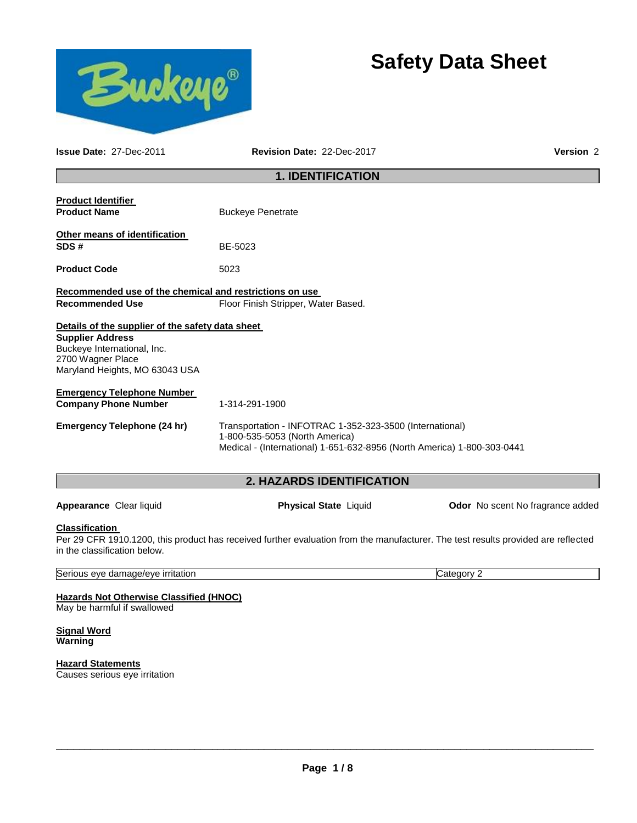



**Issue Date:** 27-Dec-2011 **Revision Date:** 22-Dec-2017 **Version** 2

# **1. IDENTIFICATION**

| <b>Product Identifier</b><br><b>Product Name</b>                                                                                                                  | <b>Buckeye Penetrate</b>                                                                                                                                              |                                         |
|-------------------------------------------------------------------------------------------------------------------------------------------------------------------|-----------------------------------------------------------------------------------------------------------------------------------------------------------------------|-----------------------------------------|
| Other means of identification<br>SDS#                                                                                                                             | BE-5023                                                                                                                                                               |                                         |
| <b>Product Code</b>                                                                                                                                               | 5023                                                                                                                                                                  |                                         |
| Recommended use of the chemical and restrictions on use<br><b>Recommended Use</b>                                                                                 | Floor Finish Stripper, Water Based.                                                                                                                                   |                                         |
| Details of the supplier of the safety data sheet<br><b>Supplier Address</b><br>Buckeye International, Inc.<br>2700 Wagner Place<br>Maryland Heights, MO 63043 USA |                                                                                                                                                                       |                                         |
| <b>Emergency Telephone Number</b><br><b>Company Phone Number</b>                                                                                                  | 1-314-291-1900                                                                                                                                                        |                                         |
| <b>Emergency Telephone (24 hr)</b>                                                                                                                                | Transportation - INFOTRAC 1-352-323-3500 (International)<br>1-800-535-5053 (North America)<br>Medical - (International) 1-651-632-8956 (North America) 1-800-303-0441 |                                         |
|                                                                                                                                                                   | 2. HAZARDS IDENTIFICATION                                                                                                                                             |                                         |
| Appearance Clear liquid                                                                                                                                           | <b>Physical State Liquid</b>                                                                                                                                          | <b>Odor</b> No scent No fragrance added |
| <b>Classification</b><br>in the classification below.                                                                                                             | Per 29 CFR 1910.1200, this product has received further evaluation from the manufacturer. The test results provided are reflected                                     |                                         |
| Serious eye damage/eye irritation                                                                                                                                 |                                                                                                                                                                       | Category 2                              |
| <b>Hazards Not Otherwise Classified (HNOC)</b><br>May be harmful if swallowed                                                                                     |                                                                                                                                                                       |                                         |
| <b>Signal Word</b>                                                                                                                                                |                                                                                                                                                                       |                                         |

**Warning** 

**Hazard Statements** Causes serious eye irritation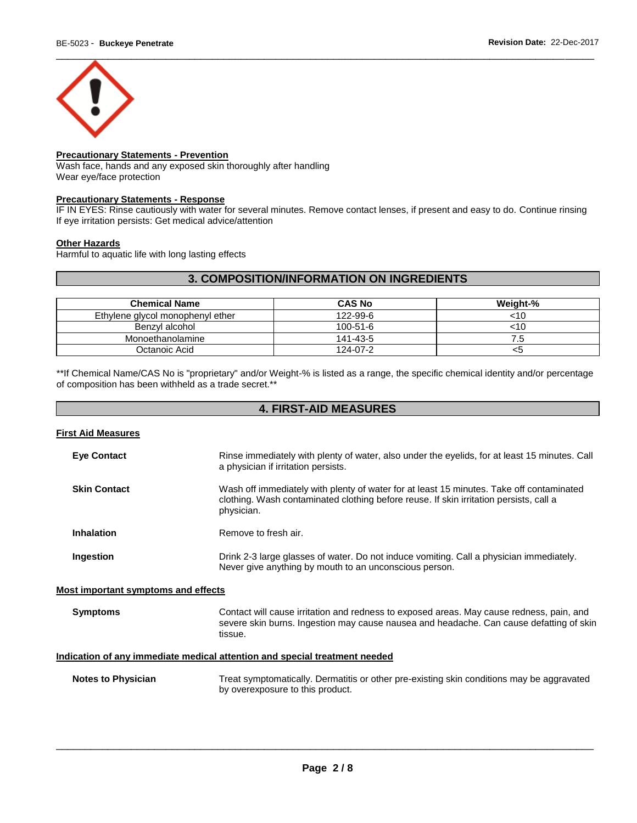

## **Precautionary Statements - Prevention**

Wash face, hands and any exposed skin thoroughly after handling Wear eye/face protection

### **Precautionary Statements - Response**

IF IN EYES: Rinse cautiously with water for several minutes. Remove contact lenses, if present and easy to do. Continue rinsing If eye irritation persists: Get medical advice/attention

#### **Other Hazards**

Harmful to aquatic life with long lasting effects

## **3. COMPOSITION/INFORMATION ON INGREDIENTS**

| <b>Chemical Name</b>             | <b>CAS No</b>  | Weight-% |
|----------------------------------|----------------|----------|
| Ethylene glycol monophenyl ether | 122-99-6       | <10      |
| Benzyl alcohol                   | $100 - 51 - 6$ | <10      |
| Monoethanolamine                 | 141-43-5       | ה. '     |
| Octanoic Acid                    | 124-07-2       | <ວ       |

\*\*If Chemical Name/CAS No is "proprietary" and/or Weight-% is listed as a range, the specific chemical identity and/or percentage of composition has been withheld as a trade secret.\*\*

# **4. FIRST-AID MEASURES**

|  | First Aid Measures |  |
|--|--------------------|--|
|  |                    |  |

| <b>Eye Contact</b>                                                         | Rinse immediately with plenty of water, also under the eyelids, for at least 15 minutes. Call<br>a physician if irritation persists.                                                             |  |
|----------------------------------------------------------------------------|--------------------------------------------------------------------------------------------------------------------------------------------------------------------------------------------------|--|
| <b>Skin Contact</b>                                                        | Wash off immediately with plenty of water for at least 15 minutes. Take off contaminated<br>clothing. Wash contaminated clothing before reuse. If skin irritation persists, call a<br>physician. |  |
| <b>Inhalation</b>                                                          | Remove to fresh air.                                                                                                                                                                             |  |
| Ingestion                                                                  | Drink 2-3 large glasses of water. Do not induce vomiting. Call a physician immediately.<br>Never give anything by mouth to an unconscious person.                                                |  |
| Most important symptoms and effects                                        |                                                                                                                                                                                                  |  |
| <b>Symptoms</b>                                                            | Contact will cause irritation and redness to exposed areas. May cause redness, pain, and<br>severe skin burns. Ingestion may cause nausea and headache. Can cause defatting of skin<br>tissue.   |  |
| Indication of any immediate medical attention and special treatment needed |                                                                                                                                                                                                  |  |
| <b>Notes to Physician</b>                                                  | Treat symptomatically. Dermatitis or other pre-existing skin conditions may be aggravated<br>by overexposure to this product.                                                                    |  |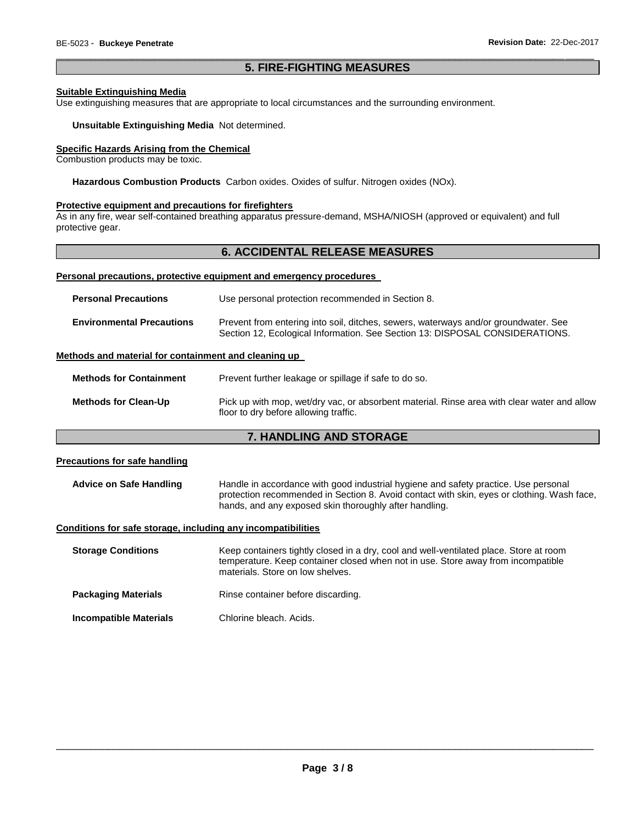### \_\_\_\_\_\_\_\_\_\_\_\_\_\_\_\_\_\_\_\_\_\_\_\_\_\_\_\_\_\_\_\_\_\_\_\_\_\_\_\_\_\_\_\_\_\_\_\_\_\_\_\_\_\_\_\_\_\_\_\_\_\_\_\_\_\_\_\_\_\_\_\_\_\_\_\_\_\_\_\_\_\_\_\_\_\_\_\_\_\_\_\_\_ **5. FIRE-FIGHTING MEASURES**

### **Suitable Extinguishing Media**

Use extinguishing measures that are appropriate to local circumstances and the surrounding environment.

#### **Unsuitable Extinguishing Media** Not determined.

### **Specific Hazards Arising from the Chemical**

Combustion products may be toxic.

**Hazardous Combustion Products** Carbon oxides. Oxides of sulfur. Nitrogen oxides (NOx).

#### **Protective equipment and precautions for firefighters**

As in any fire, wear self-contained breathing apparatus pressure-demand, MSHA/NIOSH (approved or equivalent) and full protective gear.

## **6. ACCIDENTAL RELEASE MEASURES**

#### **Personal precautions, protective equipment and emergency procedures**

| <b>Personal Precautions</b>      | Use personal protection recommended in Section 8.                                                                                                                   |  |
|----------------------------------|---------------------------------------------------------------------------------------------------------------------------------------------------------------------|--|
| <b>Environmental Precautions</b> | Prevent from entering into soil, ditches, sewers, waterways and/or groundwater. See<br>Section 12, Ecological Information. See Section 13: DISPOSAL CONSIDERATIONS. |  |

### **Methods and material for containment and cleaning up**

| <b>Methods for Containment</b> | Prevent further leakage or spillage if safe to do so.                                                                                |
|--------------------------------|--------------------------------------------------------------------------------------------------------------------------------------|
| <b>Methods for Clean-Up</b>    | Pick up with mop, wet/dry vac, or absorbent material. Rinse area with clear water and allow<br>floor to dry before allowing traffic. |

## **7. HANDLING AND STORAGE**

### **Precautions for safe handling**

**Advice on Safe Handling** Handle in accordance with good industrial hygiene and safety practice. Use personal protection recommended in Section 8. Avoid contact with skin, eyes or clothing. Wash face, hands, and any exposed skin thoroughly after handling.

#### **Conditions for safe storage, including any incompatibilities**

**Storage Conditions Keep containers tightly closed in a dry, cool and well-ventilated place. Store at room** temperature. Keep container closed when not in use. Store away from incompatible materials. Store on low shelves. **Packaging Materials Rinse container before discarding. Incompatible Materials** Chlorine bleach. Acids.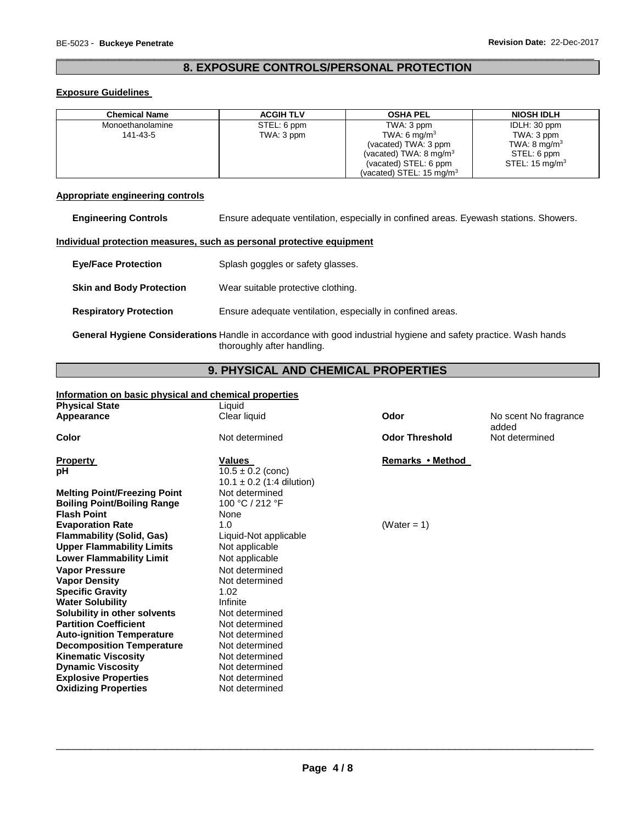## \_\_\_\_\_\_\_\_\_\_\_\_\_\_\_\_\_\_\_\_\_\_\_\_\_\_\_\_\_\_\_\_\_\_\_\_\_\_\_\_\_\_\_\_\_\_\_\_\_\_\_\_\_\_\_\_\_\_\_\_\_\_\_\_\_\_\_\_\_\_\_\_\_\_\_\_\_\_\_\_\_\_\_\_\_\_\_\_\_\_\_\_\_ **8. EXPOSURE CONTROLS/PERSONAL PROTECTION**

### **Exposure Guidelines**

| <b>Chemical Name</b> | <b>ACGIH TLV</b> | <b>OSHA PEL</b>                     | <b>NIOSH IDLH</b>         |
|----------------------|------------------|-------------------------------------|---------------------------|
| Monoethanolamine     | STEL: 6 ppm      | TWA: 3 ppm                          | IDLH: 30 ppm              |
| 141-43-5             | TWA: 3 ppm       | TWA: 6 mg/m <sup>3</sup>            | TWA: 3 ppm                |
|                      |                  | (vacated) TWA: 3 ppm                | TWA: $8 \text{ mg/m}^3$   |
|                      |                  | (vacated) TWA: $8 \text{ mg/m}^3$   | STEL: 6 ppm               |
|                      |                  | (vacated) STEL: 6 ppm               | STEL: $15 \text{ ma/m}^3$ |
|                      |                  | (vacated) STEL: $15 \text{ mg/m}^3$ |                           |

## **Appropriate engineering controls**

| <b>Engineering Controls</b> |  | Ensure adequate ventilation, especially in confined areas. Eyewash stations. Showers. |  |
|-----------------------------|--|---------------------------------------------------------------------------------------|--|
|-----------------------------|--|---------------------------------------------------------------------------------------|--|

### **Individual protection measures, such as personal protective equipment**

| <b>Eve/Face Protection</b>                                                                                       | Splash goggles or safety glasses.                          |  |
|------------------------------------------------------------------------------------------------------------------|------------------------------------------------------------|--|
| <b>Skin and Body Protection</b>                                                                                  | Wear suitable protective clothing.                         |  |
| <b>Respiratory Protection</b>                                                                                    | Ensure adequate ventilation, especially in confined areas. |  |
| General Hygiene Considerations Handle in accordance with good industrial hygiene and safety practice. Wash hands |                                                            |  |

thoroughly after handling.

# **9. PHYSICAL AND CHEMICAL PROPERTIES**

## **Information on basic physical and chemical properties**

| <b>Physical State</b>               | Liquid                                                 |                       |                                |
|-------------------------------------|--------------------------------------------------------|-----------------------|--------------------------------|
| Appearance                          | Clear liquid                                           | Odor                  | No scent No fragrance<br>added |
| Color                               | Not determined                                         | <b>Odor Threshold</b> | Not determined                 |
| <b>Property</b>                     | <b>Values</b>                                          | Remarks • Method      |                                |
| рH                                  | $10.5 \pm 0.2$ (conc)<br>$10.1 \pm 0.2$ (1:4 dilution) |                       |                                |
| <b>Melting Point/Freezing Point</b> | Not determined                                         |                       |                                |
| <b>Boiling Point/Boiling Range</b>  | 100 °C / 212 °F                                        |                       |                                |
| <b>Flash Point</b>                  | None                                                   |                       |                                |
| <b>Evaporation Rate</b>             | 1.0                                                    | (Water = $1$ )        |                                |
| <b>Flammability (Solid, Gas)</b>    | Liquid-Not applicable                                  |                       |                                |
| <b>Upper Flammability Limits</b>    | Not applicable                                         |                       |                                |
| <b>Lower Flammability Limit</b>     | Not applicable                                         |                       |                                |
| <b>Vapor Pressure</b>               | Not determined                                         |                       |                                |
| <b>Vapor Density</b>                | Not determined                                         |                       |                                |
| <b>Specific Gravity</b>             | 1.02                                                   |                       |                                |
| <b>Water Solubility</b>             | Infinite                                               |                       |                                |
| Solubility in other solvents        | Not determined                                         |                       |                                |
| <b>Partition Coefficient</b>        | Not determined                                         |                       |                                |
| <b>Auto-ignition Temperature</b>    | Not determined                                         |                       |                                |
| <b>Decomposition Temperature</b>    | Not determined                                         |                       |                                |
| <b>Kinematic Viscosity</b>          | Not determined                                         |                       |                                |
| <b>Dynamic Viscosity</b>            | Not determined                                         |                       |                                |
| <b>Explosive Properties</b>         | Not determined                                         |                       |                                |
| <b>Oxidizing Properties</b>         | Not determined                                         |                       |                                |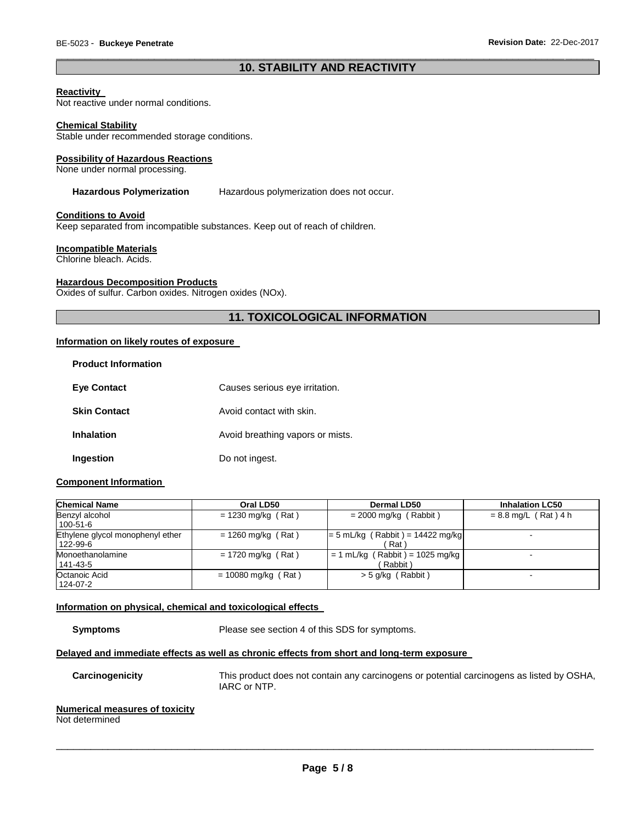## \_\_\_\_\_\_\_\_\_\_\_\_\_\_\_\_\_\_\_\_\_\_\_\_\_\_\_\_\_\_\_\_\_\_\_\_\_\_\_\_\_\_\_\_\_\_\_\_\_\_\_\_\_\_\_\_\_\_\_\_\_\_\_\_\_\_\_\_\_\_\_\_\_\_\_\_\_\_\_\_\_\_\_\_\_\_\_\_\_\_\_\_\_ **10. STABILITY AND REACTIVITY**

### **Reactivity**

Not reactive under normal conditions.

#### **Chemical Stability**

Stable under recommended storage conditions.

#### **Possibility of Hazardous Reactions**

None under normal processing.

#### **Hazardous Polymerization** Hazardous polymerization does not occur.

#### **Conditions to Avoid**

Keep separated from incompatible substances. Keep out of reach of children.

#### **Incompatible Materials**

Chlorine bleach. Acids.

### **Hazardous Decomposition Products**

Oxides of sulfur. Carbon oxides. Nitrogen oxides (NOx).

## **11. TOXICOLOGICAL INFORMATION**

#### **Information on likely routes of exposure**

| <b>Product Information</b> |                                  |
|----------------------------|----------------------------------|
| <b>Eve Contact</b>         | Causes serious eye irritation.   |
| <b>Skin Contact</b>        | Avoid contact with skin.         |
| Inhalation                 | Avoid breathing vapors or mists. |
| Ingestion                  | Do not ingest.                   |

### **Component Information**

| <b>Chemical Name</b>                         | Oral LD50             | Dermal LD50                                  | <b>Inhalation LC50</b> |
|----------------------------------------------|-----------------------|----------------------------------------------|------------------------|
| Benzyl alcohol<br>100-51-6                   | $= 1230$ mg/kg (Rat)  | $= 2000$ mg/kg (Rabbit)                      | $= 8.8$ mg/L (Rat) 4 h |
| Ethylene glycol monophenyl ether<br>122-99-6 | $= 1260$ mg/kg (Rat)  | $= 5$ mL/kg (Rabbit) = 14422 mg/kg<br>Rat `  | -                      |
| Monoethanolamine<br>141-43-5                 | $= 1720$ mg/kg (Rat)  | $= 1$ mL/kg (Rabbit) = 1025 mg/kg<br>Rabbit) | $\,$                   |
| Octanoic Acid<br>124-07-2                    | $= 10080$ mg/kg (Rat) | $>$ 5 g/kg (Rabbit)                          | -                      |

### **Information on physical, chemical and toxicological effects**

**Symptoms** Please see section 4 of this SDS for symptoms.

#### **Delayed and immediate effects as well as chronic effects from short and long-term exposure**

**Carcinogenicity** This product does not contain any carcinogens or potential carcinogens as listed by OSHA, IARC or NTP.

### **Numerical measures of toxicity**

Not determined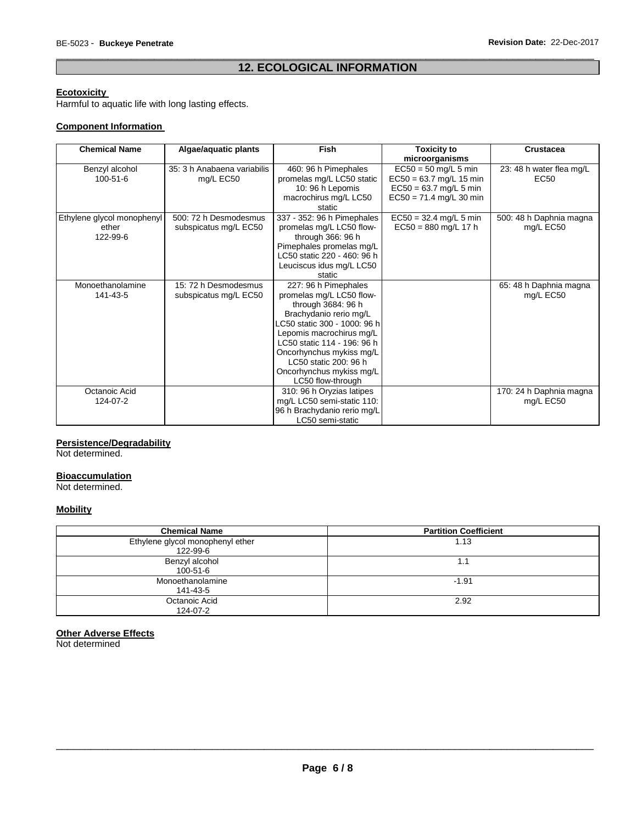## \_\_\_\_\_\_\_\_\_\_\_\_\_\_\_\_\_\_\_\_\_\_\_\_\_\_\_\_\_\_\_\_\_\_\_\_\_\_\_\_\_\_\_\_\_\_\_\_\_\_\_\_\_\_\_\_\_\_\_\_\_\_\_\_\_\_\_\_\_\_\_\_\_\_\_\_\_\_\_\_\_\_\_\_\_\_\_\_\_\_\_\_\_ **12. ECOLOGICAL INFORMATION**

## **Ecotoxicity**

Harmful to aquatic life with long lasting effects.

### **Component Information**

| <b>Chemical Name</b>                            | Algae/aquatic plants                           | <b>Fish</b>                                                                                                                                                                                                                                                                                       | <b>Toxicity to</b><br>microorganisms                                                                         | <b>Crustacea</b>                        |
|-------------------------------------------------|------------------------------------------------|---------------------------------------------------------------------------------------------------------------------------------------------------------------------------------------------------------------------------------------------------------------------------------------------------|--------------------------------------------------------------------------------------------------------------|-----------------------------------------|
| Benzyl alcohol<br>$100 - 51 - 6$                | 35: 3 h Anabaena variabilis<br>mg/L EC50       | 460: 96 h Pimephales<br>promelas mg/L LC50 static<br>10: 96 h Lepomis<br>macrochirus mg/L LC50<br>static                                                                                                                                                                                          | $EC50 = 50$ mg/L 5 min<br>$EC50 = 63.7$ mg/L 15 min<br>$EC50 = 63.7$ mg/L 5 min<br>$EC50 = 71.4$ mg/L 30 min | 23: 48 h water flea mg/L<br><b>EC50</b> |
| Ethylene glycol monophenyl<br>ether<br>122-99-6 | 500: 72 h Desmodesmus<br>subspicatus mg/L EC50 | 337 - 352: 96 h Pimephales<br>promelas mg/L LC50 flow-<br>through 366: 96 h<br>Pimephales promelas mg/L<br>LC50 static 220 - 460: 96 h<br>Leuciscus idus mg/L LC50<br>static                                                                                                                      | $EC50 = 32.4$ mg/L 5 min<br>$EC50 = 880$ mg/L 17 h                                                           | 500: 48 h Daphnia magna<br>mg/L EC50    |
| Monoethanolamine<br>141-43-5                    | 15: 72 h Desmodesmus<br>subspicatus mg/L EC50  | 227: 96 h Pimephales<br>promelas mg/L LC50 flow-<br>through 3684: 96 h<br>Brachydanio rerio mg/L<br>LC50 static 300 - 1000: 96 h<br>Lepomis macrochirus mg/L<br>LC50 static 114 - 196: 96 h<br>Oncorhynchus mykiss mg/L<br>LC50 static 200: 96 h<br>Oncorhynchus mykiss mg/L<br>LC50 flow-through |                                                                                                              | 65: 48 h Daphnia magna<br>mg/L EC50     |
| Octanoic Acid<br>124-07-2                       |                                                | 310: 96 h Oryzias latipes<br>mg/L LC50 semi-static 110:<br>96 h Brachydanio rerio mg/L<br>LC50 semi-static                                                                                                                                                                                        |                                                                                                              | 170: 24 h Daphnia magna<br>mg/L EC50    |

## **Persistence/Degradability**

Not determined.

## **Bioaccumulation**

Not determined.

## **Mobility**

| <b>Chemical Name</b>                         | <b>Partition Coefficient</b> |
|----------------------------------------------|------------------------------|
| Ethylene glycol monophenyl ether<br>122-99-6 | 1.13                         |
| Benzyl alcohol<br>100-51-6                   | 1.1                          |
| Monoethanolamine<br>141-43-5                 | $-1.91$                      |
| Octanoic Acid<br>124-07-2                    | 2.92                         |

#### **Other Adverse Effects**

Not determined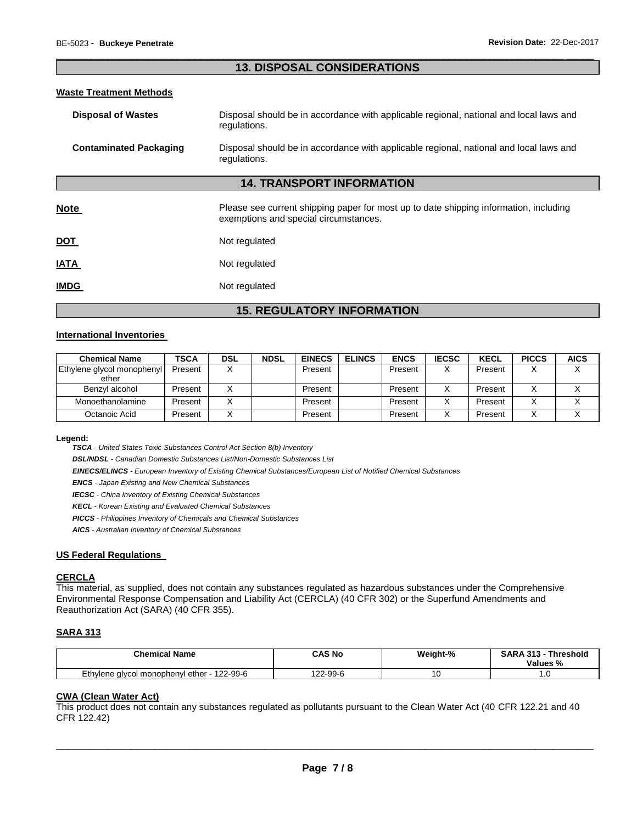## \_\_\_\_\_\_\_\_\_\_\_\_\_\_\_\_\_\_\_\_\_\_\_\_\_\_\_\_\_\_\_\_\_\_\_\_\_\_\_\_\_\_\_\_\_\_\_\_\_\_\_\_\_\_\_\_\_\_\_\_\_\_\_\_\_\_\_\_\_\_\_\_\_\_\_\_\_\_\_\_\_\_\_\_\_\_\_\_\_\_\_\_\_ **13. DISPOSAL CONSIDERATIONS**

#### **Waste Treatment Methods**

| <b>Disposal of Wastes</b>     | Disposal should be in accordance with applicable regional, national and local laws and<br>regulations.                         |
|-------------------------------|--------------------------------------------------------------------------------------------------------------------------------|
| <b>Contaminated Packaging</b> | Disposal should be in accordance with applicable regional, national and local laws and<br>regulations.                         |
|                               | <b>14. TRANSPORT INFORMATION</b>                                                                                               |
| Note                          | Please see current shipping paper for most up to date shipping information, including<br>exemptions and special circumstances. |
| <u>DOT</u>                    | Not regulated                                                                                                                  |
| <b>ATAI</b>                   | Not regulated                                                                                                                  |
| <b>IMDG</b>                   | Not regulated                                                                                                                  |

# **15. REGULATORY INFORMATION**

### **International Inventories**

| <b>Chemical Name</b>       | <b>TSCA</b> | DSL | <b>NDSL</b> | <b>EINECS</b> | <b>ELINCS</b> | <b>ENCS</b> | <b>IECSC</b> | <b>KECL</b> | <b>PICCS</b> | <b>AICS</b> |
|----------------------------|-------------|-----|-------------|---------------|---------------|-------------|--------------|-------------|--------------|-------------|
| Ethylene glycol monophenyl | Present     |     |             | Present       |               | Present     | $\checkmark$ | Present     |              |             |
| ether                      |             |     |             |               |               |             |              |             |              |             |
| Benzyl alcohol             | Present     |     |             | Present       |               | Present     |              | Present     |              |             |
| Monoethanolamine           | Present     |     |             | Present       |               | Present     |              | Present     |              |             |
| Octanoic Acid              | Present     |     |             | Present       |               | Present     | $\checkmark$ | Present     |              |             |

#### **Legend:**

*TSCA - United States Toxic Substances Control Act Section 8(b) Inventory* 

*DSL/NDSL - Canadian Domestic Substances List/Non-Domestic Substances List* 

*EINECS/ELINCS - European Inventory of Existing Chemical Substances/European List of Notified Chemical Substances* 

*ENCS - Japan Existing and New Chemical Substances* 

*IECSC - China Inventory of Existing Chemical Substances* 

*KECL - Korean Existing and Evaluated Chemical Substances* 

*PICCS - Philippines Inventory of Chemicals and Chemical Substances* 

*AICS - Australian Inventory of Chemical Substances* 

### **US Federal Regulations**

### **CERCLA**

This material, as supplied, does not contain any substances regulated as hazardous substances under the Comprehensive Environmental Response Compensation and Liability Act (CERCLA) (40 CFR 302) or the Superfund Amendments and Reauthorization Act (SARA) (40 CFR 355).

### **SARA 313**

| <b>Chemical Name</b>                        | CAS No        | Weight-% | <b>SARA 313 -</b><br><b>Threshold</b><br>Values % |
|---------------------------------------------|---------------|----------|---------------------------------------------------|
| Ethylene glycol monophenyl ether - 122-99-6 | $22 - 99 - 6$ | ں ،      | . .                                               |

# **CWA (Clean Water Act)**

This product does not contain any substances regulated as pollutants pursuant to the Clean Water Act (40 CFR 122.21 and 40 CFR 122.42)